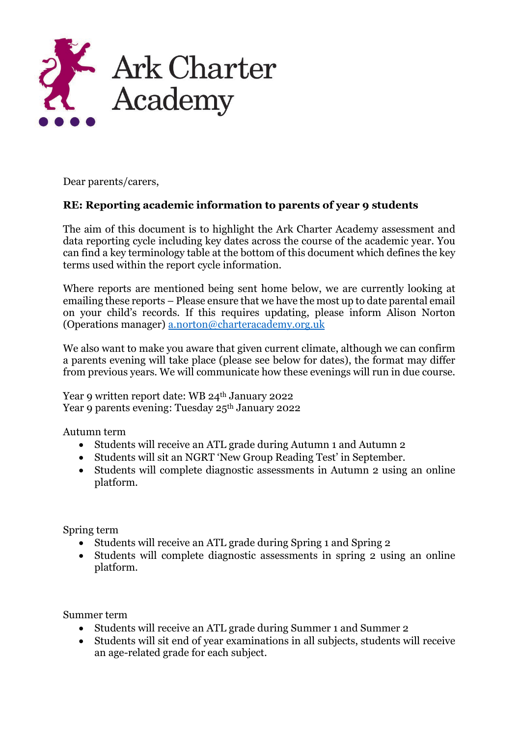

Dear parents/carers,

## **RE: Reporting academic information to parents of year 9 students**

The aim of this document is to highlight the Ark Charter Academy assessment and data reporting cycle including key dates across the course of the academic year. You can find a key terminology table at the bottom of this document which defines the key terms used within the report cycle information.

Where reports are mentioned being sent home below, we are currently looking at emailing these reports – Please ensure that we have the most up to date parental email on your child's records. If this requires updating, please inform Alison Norton (Operations manager) [a.norton@charteracademy.org.uk](mailto:a.norton@charteracademy.org.uk*)

We also want to make you aware that given current climate, although we can confirm a parents evening will take place (please see below for dates), the format may differ from previous years. We will communicate how these evenings will run in due course.

Year 9 written report date: WB 24<sup>th</sup> January 2022 Year 9 parents evening: Tuesday 25th January 2022

Autumn term

- Students will receive an ATL grade during Autumn 1 and Autumn 2
- Students will sit an NGRT 'New Group Reading Test' in September.
- Students will complete diagnostic assessments in Autumn 2 using an online platform.

Spring term

- Students will receive an ATL grade during Spring 1 and Spring 2
- Students will complete diagnostic assessments in spring 2 using an online platform.

Summer term

- Students will receive an ATL grade during Summer 1 and Summer 2
- Students will sit end of year examinations in all subjects, students will receive an age-related grade for each subject.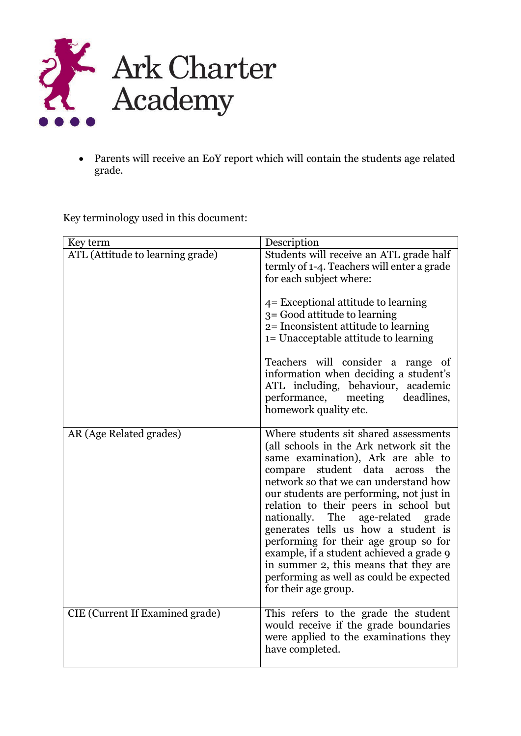

• Parents will receive an EoY report which will contain the students age related grade.

Key terminology used in this document:

| Key term                         | Description                                                                                                                                                                                                                                                                                                                                                                                                                                                                                                                                                                   |
|----------------------------------|-------------------------------------------------------------------------------------------------------------------------------------------------------------------------------------------------------------------------------------------------------------------------------------------------------------------------------------------------------------------------------------------------------------------------------------------------------------------------------------------------------------------------------------------------------------------------------|
| ATL (Attitude to learning grade) | Students will receive an ATL grade half<br>termly of 1-4. Teachers will enter a grade<br>for each subject where:<br>4 = Exceptional attitude to learning<br>3 = Good attitude to learning<br>2= Inconsistent attitude to learning<br>1= Unacceptable attitude to learning<br>Teachers will consider a range of<br>information when deciding a student's<br>ATL including, behaviour, academic<br>performance, meeting deadlines,<br>homework quality etc.                                                                                                                     |
| AR (Age Related grades)          | Where students sit shared assessments<br>(all schools in the Ark network sit the<br>same examination), Ark are able to<br>compare student data across<br>the<br>network so that we can understand how<br>our students are performing, not just in<br>relation to their peers in school but<br>nationally. The<br>age-related<br>grade<br>generates tells us how a student is<br>performing for their age group so for<br>example, if a student achieved a grade 9<br>in summer 2, this means that they are<br>performing as well as could be expected<br>for their age group. |
| CIE (Current If Examined grade)  | This refers to the grade the student<br>would receive if the grade boundaries<br>were applied to the examinations they<br>have completed.                                                                                                                                                                                                                                                                                                                                                                                                                                     |